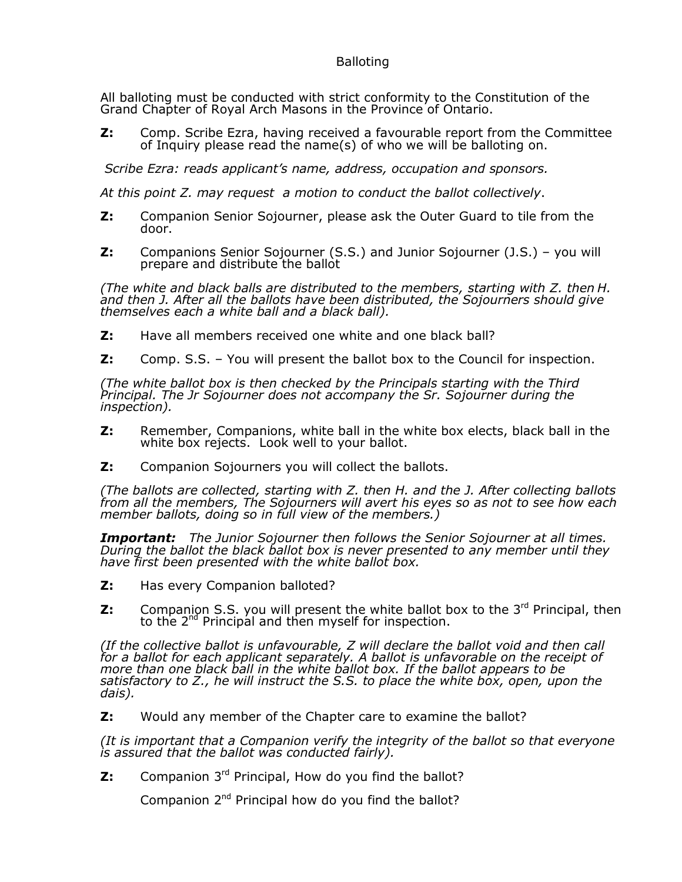## **Balloting**

All balloting must be conducted with strict conformity to the Constitution of the Grand Chapter of Royal Arch Masons in the Province of Ontario.

**Z:** Comp. Scribe Ezra, having received a favourable report from the Committee of Inquiry please read the name(s) of who we will be balloting on.

*Scribe Ezra: reads applicant's name, address, occupation and sponsors.*

*At this point Z. may request a motion to conduct the ballot collectively*.

- **Z:** Companion Senior Sojourner, please ask the Outer Guard to tile from the door.
- **Z:** Companions Senior Sojourner (S.S.) and Junior Sojourner (J.S.) you will prepare and distribute the ballot

*(The white and black balls are distributed to the members, starting with Z. then H. and then J. After all the ballots have been distributed, the Sojourners should give themselves each a white ball and a black ball).*

- **Z:** Have all members received one white and one black ball?
- **Z:** Comp. S.S. You will present the ballot box to the Council for inspection.

*(The white ballot box is then checked by the Principals starting with the Third Principal. The Jr Sojourner does not accompany the Sr. Sojourner during the inspection).*

- **Z:** Remember, Companions, white ball in the white box elects, black ball in the white box rejects. Look well to your ballot.
- **Z:** Companion Sojourners you will collect the ballots.

*(The ballots are collected, starting with Z. then H. and the J. After collecting ballots from all the members, The Sojourners will avert his eyes so as not to see how each member ballots, doing so in full view of the members.)*

*Important: The Junior Sojourner then follows the Senior Sojourner at all times. During the ballot the black ballot box is never presented to any member until they have first been presented with the white ballot box.*

- **Z:** Has every Companion balloted?
- **Z:** Companion S.S. you will present the white ballot box to the 3<sup>rd</sup> Principal, then to the 2 nd Principal and then myself for inspection.

*(If the collective ballot is unfavourable, Z will declare the ballot void and then call for a ballot for each applicant separately. A ballot is unfavorable on the receipt of more than one black ball in the white ballot box. If the ballot appears to be satisfactory to Z., he will instruct the S.S. to place the white box, open, upon the dais).*

**Z:** Would any member of the Chapter care to examine the ballot?

*(It is important that a Companion verify the integrity of the ballot so that everyone is assured that the ballot was conducted fairly).*

**Z:** Companion 3<sup>rd</sup> Principal, How do you find the ballot?

Companion  $2^{nd}$  Principal how do you find the ballot?